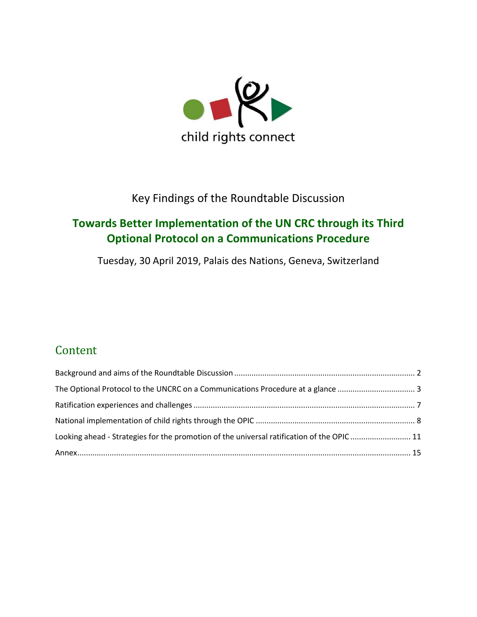

### Key Findings of the Roundtable Discussion

## **Towards Better Implementation of the UN CRC through its Third Optional Protocol on a Communications Procedure**

Tuesday, 30 April 2019, Palais des Nations, Geneva, Switzerland

# Content

| The Optional Protocol to the UNCRC on a Communications Procedure at a glance 3            |  |
|-------------------------------------------------------------------------------------------|--|
|                                                                                           |  |
|                                                                                           |  |
| Looking ahead - Strategies for the promotion of the universal ratification of the OPIC 11 |  |
|                                                                                           |  |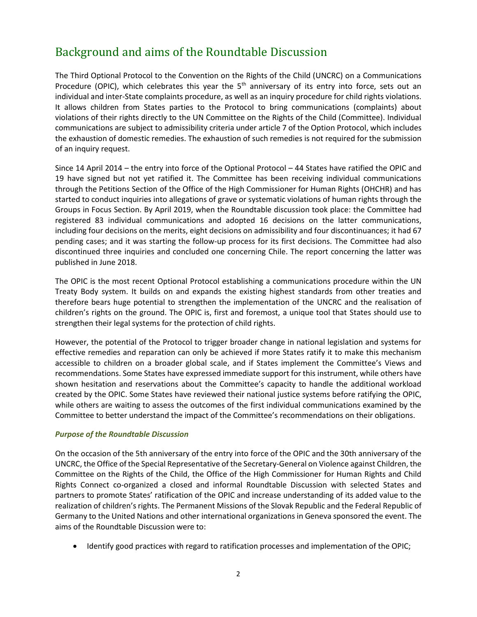### <span id="page-1-0"></span>Background and aims of the Roundtable Discussion

The Third Optional Protocol to the Convention on the Rights of the Child (UNCRC) on a Communications Procedure (OPIC), which celebrates this year the 5<sup>th</sup> anniversary of its entry into force, sets out an individual and inter-State complaints procedure, as well as an inquiry procedure for child rights violations. It allows children from States parties to the Protocol to bring communications (complaints) about violations of their rights directly to the UN Committee on the Rights of the Child (Committee). Individual communications are subject to admissibility criteria under article 7 of the Option Protocol, which includes the exhaustion of domestic remedies. The exhaustion of such remedies is not required for the submission of an inquiry request.

Since 14 April 2014 – the entry into force of the Optional Protocol – 44 States have ratified the OPIC and 19 have signed but not yet ratified it. The Committee has been receiving individual communications through the Petitions Section of the Office of the High Commissioner for Human Rights (OHCHR) and has started to conduct inquiries into allegations of grave or systematic violations of human rights through the Groups in Focus Section. By April 2019, when the Roundtable discussion took place: the Committee had registered 83 individual communications and adopted 16 decisions on the latter communications, including four decisions on the merits, eight decisions on admissibility and four discontinuances; it had 67 pending cases; and it was starting the follow-up process for its first decisions. The Committee had also discontinued three inquiries and concluded one concerning Chile. The report concerning the latter was published in June 2018.

The OPIC is the most recent Optional Protocol establishing a communications procedure within the UN Treaty Body system. It builds on and expands the existing highest standards from other treaties and therefore bears huge potential to strengthen the implementation of the UNCRC and the realisation of children's rights on the ground. The OPIC is, first and foremost, a unique tool that States should use to strengthen their legal systems for the protection of child rights.

However, the potential of the Protocol to trigger broader change in national legislation and systems for effective remedies and reparation can only be achieved if more States ratify it to make this mechanism accessible to children on a broader global scale, and if States implement the Committee's Views and recommendations. Some States have expressed immediate support for this instrument, while others have shown hesitation and reservations about the Committee's capacity to handle the additional workload created by the OPIC. Some States have reviewed their national justice systems before ratifying the OPIC, while others are waiting to assess the outcomes of the first individual communications examined by the Committee to better understand the impact of the Committee's recommendations on their obligations.

#### *Purpose of the Roundtable Discussion*

On the occasion of the 5th anniversary of the entry into force of the OPIC and the 30th anniversary of the UNCRC, the Office of the Special Representative of the Secretary-General on Violence against Children, the Committee on the Rights of the Child, the Office of the High Commissioner for Human Rights and Child Rights Connect co-organized a closed and informal Roundtable Discussion with selected States and partners to promote States' ratification of the OPIC and increase understanding of its added value to the realization of children's rights. The Permanent Missions of the Slovak Republic and the Federal Republic of Germany to the United Nations and other international organizations in Geneva sponsored the event. The aims of the Roundtable Discussion were to:

• Identify good practices with regard to ratification processes and implementation of the OPIC;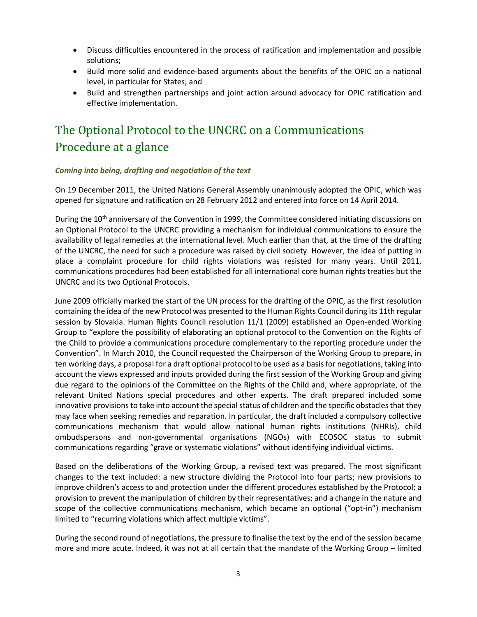- Discuss difficulties encountered in the process of ratification and implementation and possible solutions;
- Build more solid and evidence-based arguments about the benefits of the OPIC on a national level, in particular for States; and
- Build and strengthen partnerships and joint action around advocacy for OPIC ratification and effective implementation.

# <span id="page-2-0"></span>The Optional Protocol to the UNCRC on a Communications Procedure at a glance

#### *Coming into being, drafting and negotiation of the text*

On 19 December 2011, the United Nations General Assembly unanimously adopted the OPIC, which was opened for signature and ratification on 28 February 2012 and entered into force on 14 April 2014.

During the 10<sup>th</sup> anniversary of the Convention in 1999, the Committee considered initiating discussions on an Optional Protocol to the UNCRC providing a mechanism for individual communications to ensure the availability of legal remedies at the international level. Much earlier than that, at the time of the drafting of the UNCRC, the need for such a procedure was raised by civil society. However, the idea of putting in place a complaint procedure for child rights violations was resisted for many years. Until 2011, communications procedures had been established for all international core human rights treaties but the UNCRC and its two Optional Protocols.

June 2009 officially marked the start of the UN process for the drafting of the OPIC, as the first resolution containing the idea of the new Protocol was presented to the Human Rights Council during its 11th regular session by Slovakia. Human Rights Council resolution 11/1 (2009) established an Open-ended Working Group to "explore the possibility of elaborating an optional protocol to the Convention on the Rights of the Child to provide a communications procedure complementary to the reporting procedure under the Convention". In March 2010, the Council requested the Chairperson of the Working Group to prepare, in ten working days, a proposal for a draft optional protocol to be used as a basis for negotiations, taking into account the views expressed and inputs provided during the first session of the Working Group and giving due regard to the opinions of the Committee on the Rights of the Child and, where appropriate, of the relevant United Nations special procedures and other experts. The draft prepared included some innovative provisions to take into account the special status of children and the specific obstacles that they may face when seeking remedies and reparation. In particular, the draft included a compulsory collective communications mechanism that would allow national human rights institutions (NHRIs), child ombudspersons and non-governmental organisations (NGOs) with ECOSOC status to submit communications regarding "grave or systematic violations" without identifying individual victims.

Based on the deliberations of the Working Group, a revised text was prepared. The most significant changes to the text included: a new structure dividing the Protocol into four parts; new provisions to improve children's access to and protection under the different procedures established by the Protocol; a provision to prevent the manipulation of children by their representatives; and a change in the nature and scope of the collective communications mechanism, which became an optional ("opt-in") mechanism limited to "recurring violations which affect multiple victims".

During the second round of negotiations, the pressure to finalise the text by the end of the session became more and more acute. Indeed, it was not at all certain that the mandate of the Working Group – limited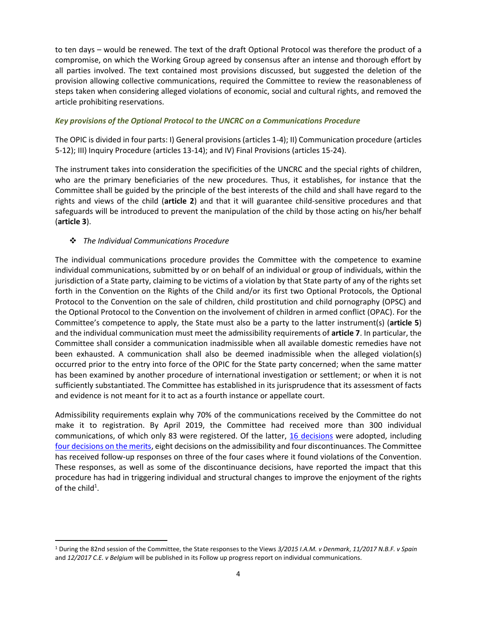to ten days – would be renewed. The text of the draft Optional Protocol was therefore the product of a compromise, on which the Working Group agreed by consensus after an intense and thorough effort by all parties involved. The text contained most provisions discussed, but suggested the deletion of the provision allowing collective communications, required the Committee to review the reasonableness of steps taken when considering alleged violations of economic, social and cultural rights, and removed the article prohibiting reservations.

#### *Key provisions of the Optional Protocol to the UNCRC on a Communications Procedure*

The OPIC is divided in four parts: I) General provisions (articles 1-4); II) Communication procedure (articles 5-12); III) Inquiry Procedure (articles 13-14); and IV) Final Provisions (articles 15-24).

The instrument takes into consideration the specificities of the UNCRC and the special rights of children, who are the primary beneficiaries of the new procedures. Thus, it establishes, for instance that the Committee shall be guided by the principle of the best interests of the child and shall have regard to the rights and views of the child (**article 2**) and that it will guarantee child-sensitive procedures and that safeguards will be introduced to prevent the manipulation of the child by those acting on his/her behalf (**article 3**).

#### ❖ *The Individual Communications Procedure*

The individual communications procedure provides the Committee with the competence to examine individual communications, submitted by or on behalf of an individual or group of individuals, within the jurisdiction of a State party, claiming to be victims of a violation by that State party of any of the rights set forth in the Convention on the Rights of the Child and/or its first two Optional Protocols, the Optional Protocol to the Convention on the sale of children, child prostitution and child pornography (OPSC) and the Optional Protocol to the Convention on the involvement of children in armed conflict (OPAC). For the Committee's competence to apply, the State must also be a party to the latter instrument(s) (**article 5**) and the individual communication must meet the admissibility requirements of **article 7**. In particular, the Committee shall consider a communication inadmissible when all available domestic remedies have not been exhausted. A communication shall also be deemed inadmissible when the alleged violation(s) occurred prior to the entry into force of the OPIC for the State party concerned; when the same matter has been examined by another procedure of international investigation or settlement; or when it is not sufficiently substantiated. The Committee has established in its jurisprudence that its assessment of facts and evidence is not meant for it to act as a fourth instance or appellate court.

Admissibility requirements explain why 70% of the communications received by the Committee do not make it to registration. By April 2019, the Committee had received more than 300 individual communications, of which only 83 were registered. Of the latter, [16 decisions](https://juris.ohchr.org/search/results) were adopted, including [four decisions on the merits,](https://d3n8a8pro7vhmx.cloudfront.net/childrightsconnect/mailings/636/attachments/original/AdoptedCases.docx?1561361356) eight decisions on the admissibility and four discontinuances. The Committee has received follow-up responses on three of the four cases where it found violations of the Convention. These responses, as well as some of the discontinuance decisions, have reported the impact that this procedure has had in triggering individual and structural changes to improve the enjoyment of the rights of the child<sup>1</sup>.

<sup>1</sup> During the 82nd session of the Committee, the State responses to the Views *3/2015 I.A.M. v Denmark*, *11/2017 N.B.F. v Spain*  and *12/2017 C.E. v Belgium* will be published in its Follow up progress report on individual communications.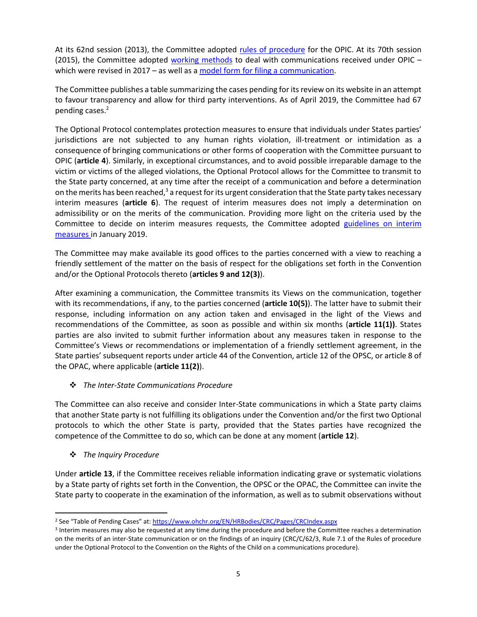At its 62nd session (2013), the Committee adopted [rules of procedure](https://tbinternet.ohchr.org/_layouts/treatybodyexternal/Download.aspx?symbolno=CRC/C/62/3&Lang=en) for the OPIC. At its 70th session (2015), the Committee adopted [working methods](https://www.ohchr.org/Documents/HRBodies/CRC/WorkingMethodsOPIC.pdf) to deal with communications received under OPIC – which were revised in 2017 – as well as a [model form for filing a communication.](https://www.ohchr.org/Documents/HRBodies/CRC/ModelCommunicationForm_en.pdf)

The Committee publishes a table summarizing the cases pending for its review on its website in an attempt to favour transparency and allow for third party interventions. As of April 2019, the Committee had 67 pending cases.<sup>2</sup>

The Optional Protocol contemplates protection measures to ensure that individuals under States parties' jurisdictions are not subjected to any human rights violation, ill-treatment or intimidation as a consequence of bringing communications or other forms of cooperation with the Committee pursuant to OPIC (**article 4**). Similarly, in exceptional circumstances, and to avoid possible irreparable damage to the victim or victims of the alleged violations, the Optional Protocol allows for the Committee to transmit to the State party concerned, at any time after the receipt of a communication and before a determination on the merits has been reached,<sup>3</sup> a request for its urgent consideration that the State party takes necessary interim measures (**article 6**). The request of interim measures does not imply a determination on admissibility or on the merits of the communication. Providing more light on the criteria used by the Committee to decide on interim measures requests, the Committee adopted [guidelines on interim](https://www.ohchr.org/Documents/HRBodies/CRC/GuidelinesInterimMeasures.docx)  [measures](https://www.ohchr.org/Documents/HRBodies/CRC/GuidelinesInterimMeasures.docx) in January 2019.

The Committee may make available its good offices to the parties concerned with a view to reaching a friendly settlement of the matter on the basis of respect for the obligations set forth in the Convention and/or the Optional Protocols thereto (**articles 9 and 12(3)**).

After examining a communication, the Committee transmits its Views on the communication, together with its recommendations, if any, to the parties concerned (**article 10(5)**). The latter have to submit their response, including information on any action taken and envisaged in the light of the Views and recommendations of the Committee, as soon as possible and within six months (**article 11(1))**. States parties are also invited to submit further information about any measures taken in response to the Committee's Views or recommendations or implementation of a friendly settlement agreement, in the State parties' subsequent reports under article 44 of the Convention, article 12 of the OPSC, or article 8 of the OPAC, where applicable (**article 11(2)**).

❖ *The Inter-State Communications Procedure*

The Committee can also receive and consider Inter-State communications in which a State party claims that another State party is not fulfilling its obligations under the Convention and/or the first two Optional protocols to which the other State is party, provided that the States parties have recognized the competence of the Committee to do so, which can be done at any moment (**article 12**).

❖ *The Inquiry Procedure*

Under **article 13**, if the Committee receives reliable information indicating grave or systematic violations by a State party of rights set forth in the Convention, the OPSC or the OPAC, the Committee can invite the State party to cooperate in the examination of the information, as well as to submit observations without

<sup>&</sup>lt;sup>2</sup> See "Table of Pending Cases" at: <https://www.ohchr.org/EN/HRBodies/CRC/Pages/CRCIndex.aspx>

<sup>&</sup>lt;sup>3</sup> Interim measures may also be requested at any time during the procedure and before the Committee reaches a determination on the merits of an inter-State communication or on the findings of an inquiry (CRC/C/62/3, Rule 7.1 of the Rules of procedure under the Optional Protocol to the Convention on the Rights of the Child on a communications procedure).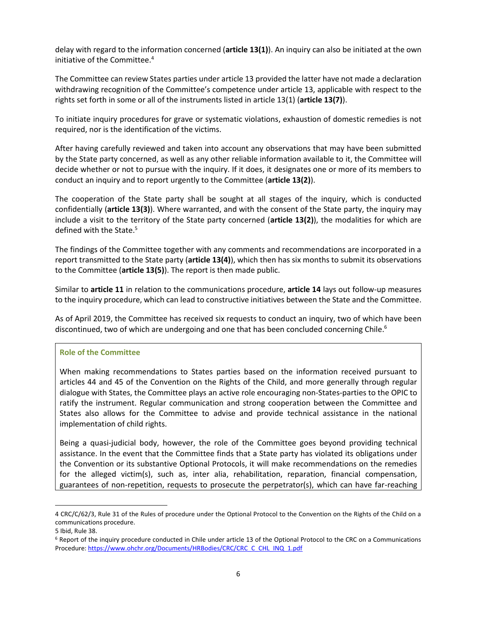delay with regard to the information concerned (**article 13(1)**). An inquiry can also be initiated at the own initiative of the Committee. 4

The Committee can review States parties under article 13 provided the latter have not made a declaration withdrawing recognition of the Committee's competence under article 13, applicable with respect to the rights set forth in some or all of the instruments listed in article 13(1) (**article 13(7)**).

To initiate inquiry procedures for grave or systematic violations, exhaustion of domestic remedies is not required, nor is the identification of the victims.

After having carefully reviewed and taken into account any observations that may have been submitted by the State party concerned, as well as any other reliable information available to it, the Committee will decide whether or not to pursue with the inquiry. If it does, it designates one or more of its members to conduct an inquiry and to report urgently to the Committee (**article 13(2)**).

The cooperation of the State party shall be sought at all stages of the inquiry, which is conducted confidentially (**article 13(3)**). Where warranted, and with the consent of the State party, the inquiry may include a visit to the territory of the State party concerned (**article 13(2)**), the modalities for which are defined with the State. 5

The findings of the Committee together with any comments and recommendations are incorporated in a report transmitted to the State party (**article 13(4)**), which then has six months to submit its observations to the Committee (**article 13(5)**). The report is then made public.

Similar to **article 11** in relation to the communications procedure, **article 14** lays out follow-up measures to the inquiry procedure, which can lead to constructive initiatives between the State and the Committee.

As of April 2019, the Committee has received six requests to conduct an inquiry, two of which have been discontinued, two of which are undergoing and one that has been concluded concerning Chile.<sup>6</sup>

#### **Role of the Committee**

When making recommendations to States parties based on the information received pursuant to articles 44 and 45 of the Convention on the Rights of the Child, and more generally through regular dialogue with States, the Committee plays an active role encouraging non-States-parties to the OPIC to ratify the instrument. Regular communication and strong cooperation between the Committee and States also allows for the Committee to advise and provide technical assistance in the national implementation of child rights.

Being a quasi-judicial body, however, the role of the Committee goes beyond providing technical assistance. In the event that the Committee finds that a State party has violated its obligations under the Convention or its substantive Optional Protocols, it will make recommendations on the remedies for the alleged victim(s), such as, inter alia, rehabilitation, reparation, financial compensation, guarantees of non-repetition, requests to prosecute the perpetrator(s), which can have far-reaching

<sup>4</sup> CRC/C/62/3, Rule 31 of the Rules of procedure under the Optional Protocol to the Convention on the Rights of the Child on a communications procedure.

<sup>5</sup> Ibid, Rule 38.

<sup>6</sup> Report of the inquiry procedure conducted in Chile under article 13 of the Optional Protocol to the CRC on a Communications Procedure[: https://www.ohchr.org/Documents/HRBodies/CRC/CRC\\_C\\_CHL\\_INQ\\_1.pdf](https://www.ohchr.org/Documents/HRBodies/CRC/CRC_C_CHL_INQ_1.pdf)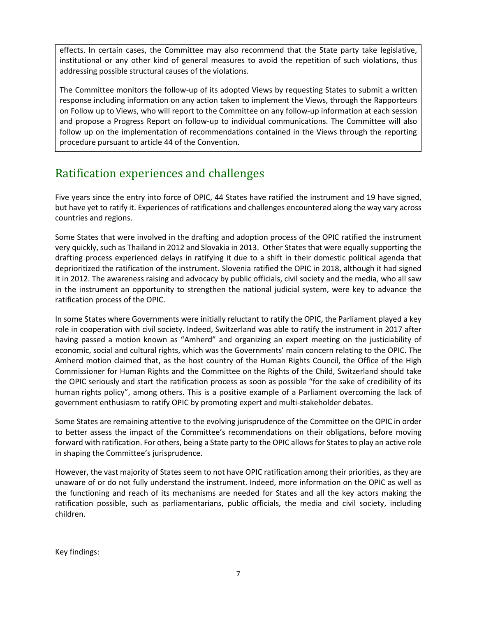effects. In certain cases, the Committee may also recommend that the State party take legislative, institutional or any other kind of general measures to avoid the repetition of such violations, thus addressing possible structural causes of the violations.

The Committee monitors the follow-up of its adopted Views by requesting States to submit a written response including information on any action taken to implement the Views, through the Rapporteurs on Follow up to Views, who will report to the Committee on any follow-up information at each session and propose a Progress Report on follow-up to individual communications. The Committee will also follow up on the implementation of recommendations contained in the Views through the reporting procedure pursuant to article 44 of the Convention.

## <span id="page-6-0"></span>Ratification experiences and challenges

Five years since the entry into force of OPIC, 44 States have ratified the instrument and 19 have signed, but have yet to ratify it. Experiences of ratifications and challenges encountered along the way vary across countries and regions.

Some States that were involved in the drafting and adoption process of the OPIC ratified the instrument very quickly, such as Thailand in 2012 and Slovakia in 2013. Other States that were equally supporting the drafting process experienced delays in ratifying it due to a shift in their domestic political agenda that deprioritized the ratification of the instrument. Slovenia ratified the OPIC in 2018, although it had signed it in 2012. The awareness raising and advocacy by public officials, civil society and the media, who all saw in the instrument an opportunity to strengthen the national judicial system, were key to advance the ratification process of the OPIC.

In some States where Governments were initially reluctant to ratify the OPIC, the Parliament played a key role in cooperation with civil society. Indeed, Switzerland was able to ratify the instrument in 2017 after having passed a motion known as "Amherd" and organizing an expert meeting on the justiciability of economic, social and cultural rights, which was the Governments' main concern relating to the OPIC. The Amherd motion claimed that, as the host country of the Human Rights Council, the Office of the High Commissioner for Human Rights and the Committee on the Rights of the Child, Switzerland should take the OPIC seriously and start the ratification process as soon as possible "for the sake of credibility of its human rights policy", among others. This is a positive example of a Parliament overcoming the lack of government enthusiasm to ratify OPIC by promoting expert and multi-stakeholder debates.

Some States are remaining attentive to the evolving jurisprudence of the Committee on the OPIC in order to better assess the impact of the Committee's recommendations on their obligations, before moving forward with ratification. For others, being a State party to the OPIC allows for States to play an active role in shaping the Committee's jurisprudence.

However, the vast majority of States seem to not have OPIC ratification among their priorities, as they are unaware of or do not fully understand the instrument. Indeed, more information on the OPIC as well as the functioning and reach of its mechanisms are needed for States and all the key actors making the ratification possible, such as parliamentarians, public officials, the media and civil society, including children.

Key findings: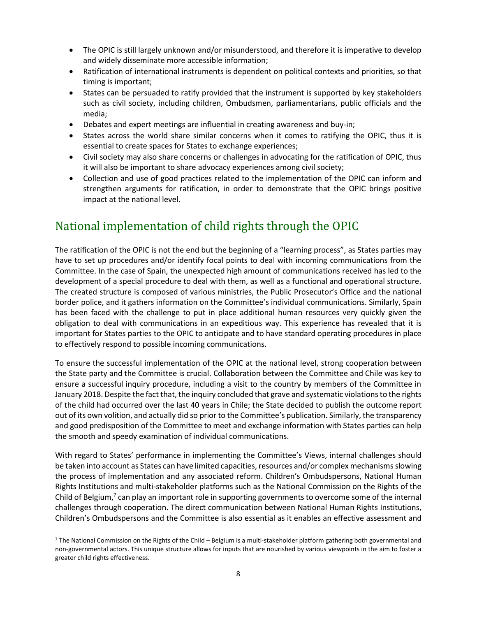- The OPIC is still largely unknown and/or misunderstood, and therefore it is imperative to develop and widely disseminate more accessible information;
- Ratification of international instruments is dependent on political contexts and priorities, so that timing is important;
- States can be persuaded to ratify provided that the instrument is supported by key stakeholders such as civil society, including children, Ombudsmen, parliamentarians, public officials and the media;
- Debates and expert meetings are influential in creating awareness and buy-in;
- States across the world share similar concerns when it comes to ratifying the OPIC, thus it is essential to create spaces for States to exchange experiences;
- Civil society may also share concerns or challenges in advocating for the ratification of OPIC, thus it will also be important to share advocacy experiences among civil society;
- Collection and use of good practices related to the implementation of the OPIC can inform and strengthen arguments for ratification, in order to demonstrate that the OPIC brings positive impact at the national level.

### <span id="page-7-0"></span>National implementation of child rights through the OPIC

The ratification of the OPIC is not the end but the beginning of a "learning process", as States parties may have to set up procedures and/or identify focal points to deal with incoming communications from the Committee. In the case of Spain, the unexpected high amount of communications received has led to the development of a special procedure to deal with them, as well as a functional and operational structure. The created structure is composed of various ministries, the Public Prosecutor's Office and the national border police, and it gathers information on the Committee's individual communications. Similarly, Spain has been faced with the challenge to put in place additional human resources very quickly given the obligation to deal with communications in an expeditious way. This experience has revealed that it is important for States parties to the OPIC to anticipate and to have standard operating procedures in place to effectively respond to possible incoming communications.

To ensure the successful implementation of the OPIC at the national level, strong cooperation between the State party and the Committee is crucial. Collaboration between the Committee and Chile was key to ensure a successful inquiry procedure, including a visit to the country by members of the Committee in January 2018. Despite the fact that, the inquiry concluded that grave and systematic violations to the rights of the child had occurred over the last 40 years in Chile; the State decided to publish the outcome report out of its own volition, and actually did so prior to the Committee's publication. Similarly, the transparency and good predisposition of the Committee to meet and exchange information with States parties can help the smooth and speedy examination of individual communications.

With regard to States' performance in implementing the Committee's Views, internal challenges should be taken into account as States can have limited capacities, resources and/or complex mechanisms slowing the process of implementation and any associated reform. Children's Ombudspersons, National Human Rights Institutions and multi-stakeholder platforms such as the National Commission on the Rights of the Child of Belgium,<sup>7</sup> can play an important role in supporting governments to overcome some of the internal challenges through cooperation. The direct communication between National Human Rights Institutions, Children's Ombudspersons and the Committee is also essential as it enables an effective assessment and

 $7$  The National Commission on the Rights of the Child – Belgium is a multi-stakeholder platform gathering both governmental and non-governmental actors. This unique structure allows for inputs that are nourished by various viewpoints in the aim to foster a greater child rights effectiveness.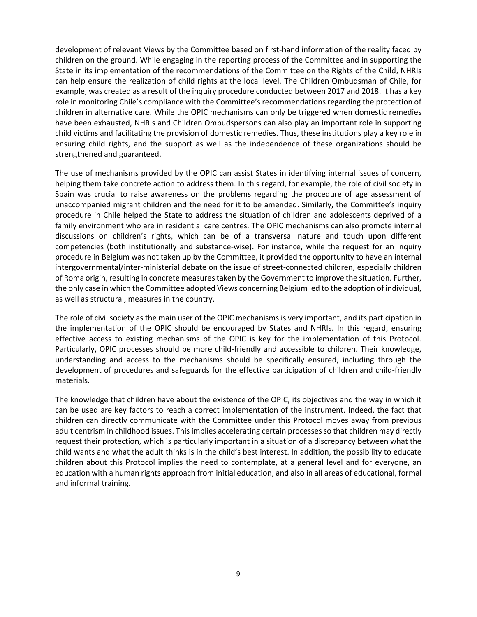development of relevant Views by the Committee based on first-hand information of the reality faced by children on the ground. While engaging in the reporting process of the Committee and in supporting the State in its implementation of the recommendations of the Committee on the Rights of the Child, NHRIs can help ensure the realization of child rights at the local level. The Children Ombudsman of Chile, for example, was created as a result of the inquiry procedure conducted between 2017 and 2018. It has a key role in monitoring Chile's compliance with the Committee's recommendations regarding the protection of children in alternative care. While the OPIC mechanisms can only be triggered when domestic remedies have been exhausted, NHRIs and Children Ombudspersons can also play an important role in supporting child victims and facilitating the provision of domestic remedies. Thus, these institutions play a key role in ensuring child rights, and the support as well as the independence of these organizations should be strengthened and guaranteed.

The use of mechanisms provided by the OPIC can assist States in identifying internal issues of concern, helping them take concrete action to address them. In this regard, for example, the role of civil society in Spain was crucial to raise awareness on the problems regarding the procedure of age assessment of unaccompanied migrant children and the need for it to be amended. Similarly, the Committee's inquiry procedure in Chile helped the State to address the situation of children and adolescents deprived of a family environment who are in residential care centres. The OPIC mechanisms can also promote internal discussions on children's rights, which can be of a transversal nature and touch upon different competencies (both institutionally and substance-wise). For instance, while the request for an inquiry procedure in Belgium was not taken up by the Committee, it provided the opportunity to have an internal intergovernmental/inter-ministerial debate on the issue of street-connected children, especially children of Roma origin, resulting in concrete measures taken by the Government to improve the situation. Further, the only case in which the Committee adopted Views concerning Belgium led to the adoption of individual, as well as structural, measures in the country.

The role of civil society as the main user of the OPIC mechanisms is very important, and its participation in the implementation of the OPIC should be encouraged by States and NHRIs. In this regard, ensuring effective access to existing mechanisms of the OPIC is key for the implementation of this Protocol. Particularly, OPIC processes should be more child-friendly and accessible to children. Their knowledge, understanding and access to the mechanisms should be specifically ensured, including through the development of procedures and safeguards for the effective participation of children and child-friendly materials.

The knowledge that children have about the existence of the OPIC, its objectives and the way in which it can be used are key factors to reach a correct implementation of the instrument. Indeed, the fact that children can directly communicate with the Committee under this Protocol moves away from previous adult centrism in childhood issues. This implies accelerating certain processes so that children may directly request their protection, which is particularly important in a situation of a discrepancy between what the child wants and what the adult thinks is in the child's best interest. In addition, the possibility to educate children about this Protocol implies the need to contemplate, at a general level and for everyone, an education with a human rights approach from initial education, and also in all areas of educational, formal and informal training.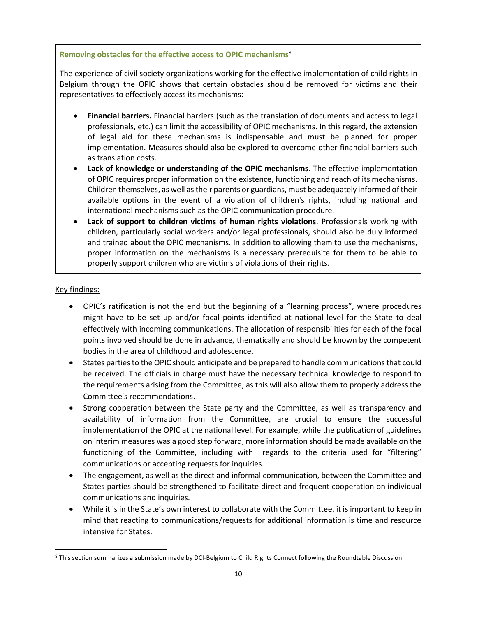#### **Removing obstacles for the effective access to OPIC mechanisms**<sup>8</sup>

The experience of civil society organizations working for the effective implementation of child rights in Belgium through the OPIC shows that certain obstacles should be removed for victims and their representatives to effectively access its mechanisms:

- **Financial barriers.** Financial barriers (such as the translation of documents and access to legal professionals, etc.) can limit the accessibility of OPIC mechanisms. In this regard, the extension of legal aid for these mechanisms is indispensable and must be planned for proper implementation. Measures should also be explored to overcome other financial barriers such as translation costs.
- **Lack of knowledge or understanding of the OPIC mechanisms**. The effective implementation of OPIC requires proper information on the existence, functioning and reach of its mechanisms. Children themselves, as well as their parents or guardians, must be adequately informed oftheir available options in the event of a violation of children's rights, including national and international mechanisms such as the OPIC communication procedure.
- **Lack of support to children victims of human rights violations**. Professionals working with children, particularly social workers and/or legal professionals, should also be duly informed and trained about the OPIC mechanisms. In addition to allowing them to use the mechanisms, proper information on the mechanisms is a necessary prerequisite for them to be able to properly support children who are victims of violations of their rights.

#### Key findings:

- OPIC's ratification is not the end but the beginning of a "learning process", where procedures might have to be set up and/or focal points identified at national level for the State to deal effectively with incoming communications. The allocation of responsibilities for each of the focal points involved should be done in advance, thematically and should be known by the competent bodies in the area of childhood and adolescence.
- States parties to the OPIC should anticipate and be prepared to handle communications that could be received. The officials in charge must have the necessary technical knowledge to respond to the requirements arising from the Committee, as this will also allow them to properly address the Committee's recommendations.
- Strong cooperation between the State party and the Committee, as well as transparency and availability of information from the Committee, are crucial to ensure the successful implementation of the OPIC at the national level. For example, while the publication of guidelines on interim measures was a good step forward, more information should be made available on the functioning of the Committee, including with regards to the criteria used for "filtering" communications or accepting requests for inquiries.
- The engagement, as well as the direct and informal communication, between the Committee and States parties should be strengthened to facilitate direct and frequent cooperation on individual communications and inquiries.
- While it is in the State's own interest to collaborate with the Committee, it is important to keep in mind that reacting to communications/requests for additional information is time and resource intensive for States.

<sup>8</sup> This section summarizes a submission made by DCI-Belgium to Child Rights Connect following the Roundtable Discussion.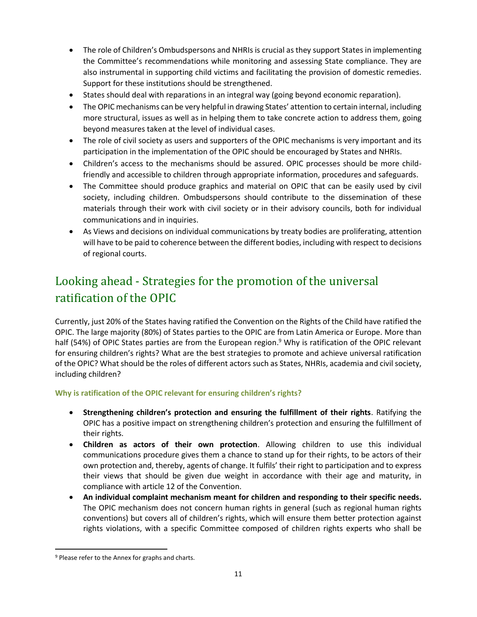- The role of Children's Ombudspersons and NHRIs is crucial as they support States in implementing the Committee's recommendations while monitoring and assessing State compliance. They are also instrumental in supporting child victims and facilitating the provision of domestic remedies. Support for these institutions should be strengthened.
- States should deal with reparations in an integral way (going beyond economic reparation).
- The OPIC mechanisms can be very helpful in drawing States' attention to certain internal, including more structural, issues as well as in helping them to take concrete action to address them, going beyond measures taken at the level of individual cases.
- The role of civil society as users and supporters of the OPIC mechanisms is very important and its participation in the implementation of the OPIC should be encouraged by States and NHRIs.
- Children's access to the mechanisms should be assured. OPIC processes should be more childfriendly and accessible to children through appropriate information, procedures and safeguards.
- The Committee should produce graphics and material on OPIC that can be easily used by civil society, including children. Ombudspersons should contribute to the dissemination of these materials through their work with civil society or in their advisory councils, both for individual communications and in inquiries.
- As Views and decisions on individual communications by treaty bodies are proliferating, attention will have to be paid to coherence between the different bodies, including with respect to decisions of regional courts.

# <span id="page-10-0"></span>Looking ahead - Strategies for the promotion of the universal ratification of the OPIC

Currently, just 20% of the States having ratified the Convention on the Rights of the Child have ratified the OPIC. The large majority (80%) of States parties to the OPIC are from Latin America or Europe. More than half (54%) of OPIC States parties are from the European region.<sup>9</sup> Why is ratification of the OPIC relevant for ensuring children's rights? What are the best strategies to promote and achieve universal ratification of the OPIC? What should be the roles of different actors such as States, NHRIs, academia and civil society, including children?

#### **Why is ratification of the OPIC relevant for ensuring children's rights?**

- **Strengthening children's protection and ensuring the fulfillment of their rights**. Ratifying the OPIC has a positive impact on strengthening children's protection and ensuring the fulfillment of their rights.
- **Children as actors of their own protection**. Allowing children to use this individual communications procedure gives them a chance to stand up for their rights, to be actors of their own protection and, thereby, agents of change. It fulfils' their right to participation and to express their views that should be given due weight in accordance with their age and maturity, in compliance with article 12 of the Convention.
- **An individual complaint mechanism meant for children and responding to their specific needs.** The OPIC mechanism does not concern human rights in general (such as regional human rights conventions) but covers all of children's rights, which will ensure them better protection against rights violations, with a specific Committee composed of children rights experts who shall be

<sup>&</sup>lt;sup>9</sup> Please refer to the Annex for graphs and charts.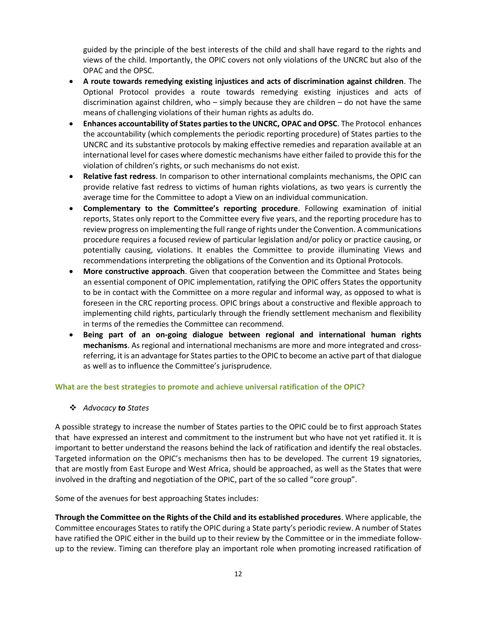guided by the principle of the best interests of the child and shall have regard to the rights and views of the child. Importantly, the OPIC covers not only violations of the UNCRC but also of the OPAC and the OPSC.

- **A route towards remedying existing injustices and acts of discrimination against children**. The Optional Protocol provides a route towards remedying existing injustices and acts of discrimination against children, who – simply because they are children – do not have the same means of challenging violations of their human rights as adults do.
- **Enhances accountability of States parties to the UNCRC, OPAC and OPSC**. The Protocol enhances the accountability (which complements the periodic reporting procedure) of States parties to the UNCRC and its substantive protocols by making effective remedies and reparation available at an international level for cases where domestic mechanisms have either failed to provide this for the violation of children's rights, or such mechanisms do not exist.
- **Relative fast redress**. In comparison to other international complaints mechanisms, the OPIC can provide relative fast redress to victims of human rights violations, as two years is currently the average time for the Committee to adopt a View on an individual communication.
- **Complementary to the Committee's reporting procedure**. Following examination of initial reports, States only report to the Committee every five years, and the reporting procedure has to review progress on implementing the full range of rights under the Convention. A communications procedure requires a focused review of particular legislation and/or policy or practice causing, or potentially causing, violations. It enables the Committee to provide illuminating Views and recommendations interpreting the obligations of the Convention and its Optional Protocols.
- **More constructive approach**. Given that cooperation between the Committee and States being an essential component of OPIC implementation, ratifying the OPIC offers States the opportunity to be in contact with the Committee on a more regular and informal way, as opposed to what is foreseen in the CRC reporting process. OPIC brings about a constructive and flexible approach to implementing child rights, particularly through the friendly settlement mechanism and flexibility in terms of the remedies the Committee can recommend.
- **Being part of an on-going dialogue between regional and international human rights mechanisms**. As regional and international mechanisms are more and more integrated and crossreferring, it is an advantage for States parties to the OPIC to become an active part of that dialogue as well as to influence the Committee's jurisprudence.

#### **What are the best strategies to promote and achieve universal ratification of the OPIC?**

❖ *Advocacy to States*

A possible strategy to increase the number of States parties to the OPIC could be to first approach States that have expressed an interest and commitment to the instrument but who have not yet ratified it. It is important to better understand the reasons behind the lack of ratification and identify the real obstacles. Targeted information on the OPIC's mechanisms then has to be developed. The current 19 signatories, that are mostly from East Europe and West Africa, should be approached, as well as the States that were involved in the drafting and negotiation of the OPIC, part of the so called "core group".

Some of the avenues for best approaching States includes:

**Through the Committee on the Rights of the Child and its established procedures**. Where applicable, the Committee encourages States to ratify the OPIC during a State party's periodic review. A number of States have ratified the OPIC either in the build up to their review by the Committee or in the immediate followup to the review. Timing can therefore play an important role when promoting increased ratification of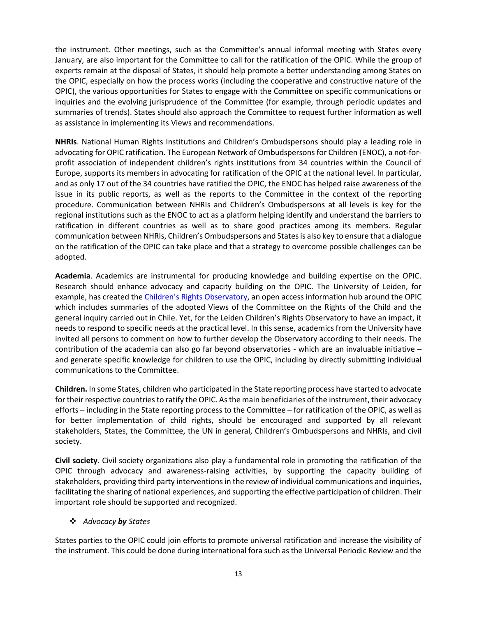the instrument. Other meetings, such as the Committee's annual informal meeting with States every January, are also important for the Committee to call for the ratification of the OPIC. While the group of experts remain at the disposal of States, it should help promote a better understanding among States on the OPIC, especially on how the process works (including the cooperative and constructive nature of the OPIC), the various opportunities for States to engage with the Committee on specific communications or inquiries and the evolving jurisprudence of the Committee (for example, through periodic updates and summaries of trends). States should also approach the Committee to request further information as well as assistance in implementing its Views and recommendations.

**NHRIs**. National Human Rights Institutions and Children's Ombudspersons should play a leading role in advocating for OPIC ratification. The European Network of Ombudspersons for Children (ENOC), a not-forprofit association of independent children's rights institutions from 34 countries within the Council of Europe, supports its members in advocating for ratification of the OPIC at the national level. In particular, and as only 17 out of the 34 countries have ratified the OPIC, the ENOC has helped raise awareness of the issue in its public reports, as well as the reports to the Committee in the context of the reporting procedure. Communication between NHRIs and Children's Ombudspersons at all levels is key for the regional institutions such as the ENOC to act as a platform helping identify and understand the barriers to ratification in different countries as well as to share good practices among its members. Regular communication between NHRIs, Children's Ombudspersons and States is also key to ensure that a dialogue on the ratification of the OPIC can take place and that a strategy to overcome possible challenges can be adopted.

**Academia**. Academics are instrumental for producing knowledge and building expertise on the OPIC. Research should enhance advocacy and capacity building on the OPIC. The University of Leiden, for example, has created the [Children's Rights Observatory](https://www.universiteitleiden.nl/en/law/institute-of-private-law/child-law/leiden-childrens-rights-observatory), an open access information hub around the OPIC which includes summaries of the adopted Views of the Committee on the Rights of the Child and the general inquiry carried out in Chile. Yet, for the Leiden Children's Rights Observatory to have an impact, it needs to respond to specific needs at the practical level. In this sense, academics from the University have invited all persons to comment on how to further develop the Observatory according to their needs. The contribution of the academia can also go far beyond observatories - which are an invaluable initiative – and generate specific knowledge for children to use the OPIC, including by directly submitting individual communications to the Committee.

**Children.** In some States, children who participated in the State reporting process have started to advocate for their respective countries to ratify the OPIC. As the main beneficiaries of the instrument, their advocacy efforts – including in the State reporting process to the Committee – for ratification of the OPIC, as well as for better implementation of child rights, should be encouraged and supported by all relevant stakeholders, States, the Committee, the UN in general, Children's Ombudspersons and NHRIs, and civil society.

**Civil society**. Civil society organizations also play a fundamental role in promoting the ratification of the OPIC through advocacy and awareness-raising activities, by supporting the capacity building of stakeholders, providing third party interventions in the review of individual communications and inquiries, facilitating the sharing of national experiences, and supporting the effective participation of children. Their important role should be supported and recognized.

#### ❖ *Advocacy by States*

States parties to the OPIC could join efforts to promote universal ratification and increase the visibility of the instrument. This could be done during international fora such as the Universal Periodic Review and the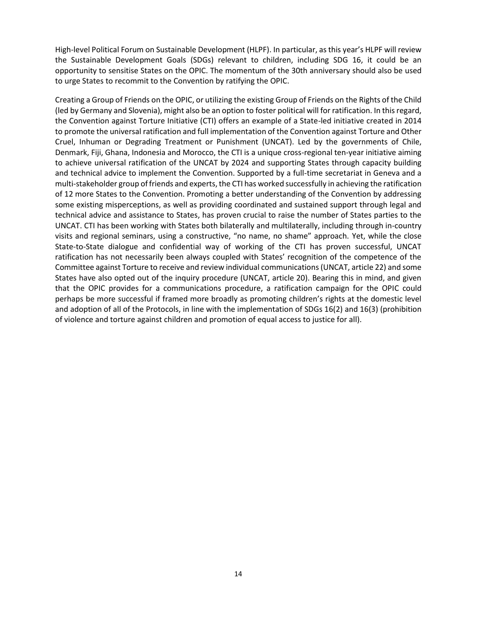High-level Political Forum on Sustainable Development (HLPF). In particular, as this year's HLPF will review the Sustainable Development Goals (SDGs) relevant to children, including SDG 16, it could be an opportunity to sensitise States on the OPIC. The momentum of the 30th anniversary should also be used to urge States to recommit to the Convention by ratifying the OPIC.

<span id="page-13-0"></span>Creating a Group of Friends on the OPIC, or utilizing the existing Group of Friends on the Rights of the Child (led by Germany and Slovenia), might also be an option to foster political will for ratification. In this regard, the Convention against Torture Initiative (CTI) offers an example of a State-led initiative created in 2014 to promote the universal ratification and full implementation of the Convention against Torture and Other Cruel, Inhuman or Degrading Treatment or Punishment (UNCAT). Led by the governments of Chile, Denmark, Fiji, Ghana, Indonesia and Morocco, the CTI is a unique cross-regional ten-year initiative aiming to achieve universal ratification of the UNCAT by 2024 and supporting States through capacity building and technical advice to implement the Convention. Supported by a full-time secretariat in Geneva and a multi-stakeholder group of friends and experts, the CTI has worked successfully in achieving the ratification of 12 more States to the Convention. Promoting a better understanding of the Convention by addressing some existing misperceptions, as well as providing coordinated and sustained support through legal and technical advice and assistance to States, has proven crucial to raise the number of States parties to the UNCAT. CTI has been working with States both bilaterally and multilaterally, including through in-country visits and regional seminars, using a constructive, "no name, no shame" approach. Yet, while the close State-to-State dialogue and confidential way of working of the CTI has proven successful, UNCAT ratification has not necessarily been always coupled with States' recognition of the competence of the Committee against Torture to receive and review individual communications (UNCAT, article 22) and some States have also opted out of the inquiry procedure (UNCAT, article 20). Bearing this in mind, and given that the OPIC provides for a communications procedure, a ratification campaign for the OPIC could perhaps be more successful if framed more broadly as promoting children's rights at the domestic level and adoption of all of the Protocols, in line with the implementation of SDGs 16(2) and 16(3) (prohibition of violence and torture against children and promotion of equal access to justice for all).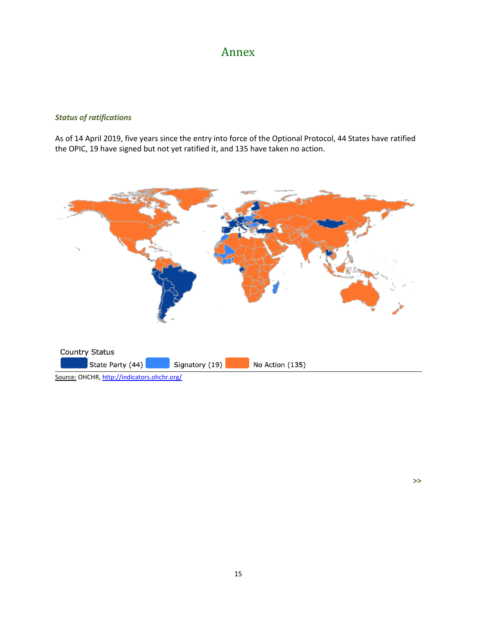### Annex

#### *Status of ratifications*

As of 14 April 2019, five years since the entry into force of the Optional Protocol, 44 States have ratified the OPIC, 19 have signed but not yet ratified it, and 135 have taken no action.



**>>**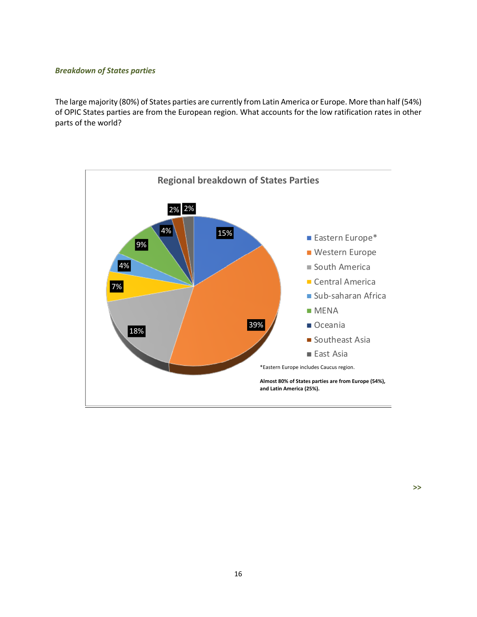#### *Breakdown of States parties*

The large majority (80%) of States parties are currently from Latin America or Europe. More than half (54%) of OPIC States parties are from the European region. What accounts for the low ratification rates in other parts of the world?



### **Regional breakdown of States Parties**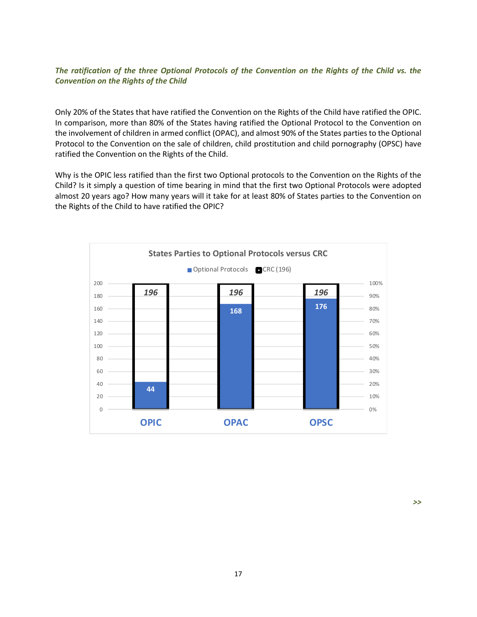#### *The ratification of the three Optional Protocols of the Convention on the Rights of the Child vs. the Convention on the Rights of the Child*

Only 20% of the States that have ratified the Convention on the Rights of the Child have ratified the OPIC. In comparison, more than 80% of the States having ratified the Optional Protocol to the Convention on the involvement of children in armed conflict (OPAC), and almost 90% of the States parties to the Optional Protocol to the Convention on the sale of children, child prostitution and child pornography (OPSC) have ratified the Convention on the Rights of the Child.

Why is the OPIC less ratified than the first two Optional protocols to the Convention on the Rights of the Child? Is it simply a question of time bearing in mind that the first two Optional Protocols were adopted almost 20 years ago? How many years will it take for at least 80% of States parties to the Convention on the Rights of the Child to have ratified the OPIC?